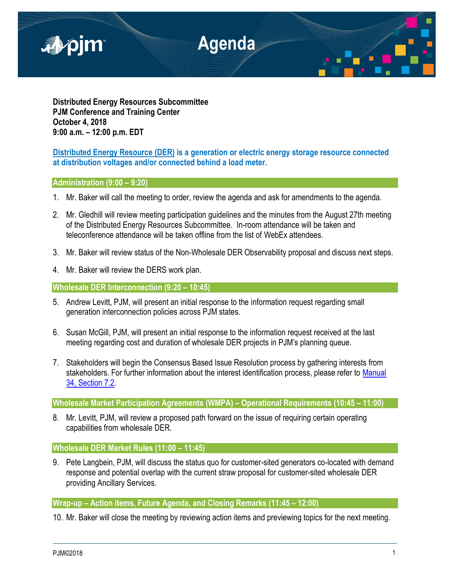

**Distributed Energy Resources Subcommittee PJM Conference and Training Center October 4, 2018 9:00 a.m. – 12:00 p.m. EDT**

# **Distributed Energy Resource (DER) is a generation or electric energy storage resource connected at distribution voltages and/or connected behind a load meter.**

# **Administration (9:00 – 9:20)**

- 1. Mr. Baker will call the meeting to order, review the agenda and ask for amendments to the agenda.
- 2. Mr. Gledhill will review meeting participation guidelines and the minutes from the August 27th meeting of the Distributed Energy Resources Subcommittee. In-room attendance will be taken and teleconference attendance will be taken offline from the list of WebEx attendees.
- 3. Mr. Baker will review status of the Non-Wholesale DER Observability proposal and discuss next steps.
- 4. Mr. Baker will review the DERS work plan.

# **Wholesale DER Interconnection (9:20 – 10:45)**

- 5. Andrew Levitt, PJM, will present an initial response to the information request regarding small generation interconnection policies across PJM states.
- 6. Susan McGill, PJM, will present an initial response to the information request received at the last meeting regarding cost and duration of wholesale DER projects in PJM's planning queue.
- 7. Stakeholders will begin the Consensus Based Issue Resolution process by gathering interests from stakeholders. For further information about the interest identification process, please refer to Manual [34, Section 7.2.](https://www.pjm.com/-/media/documents/manuals/m34.ashx)

# **Wholesale Market Participation Agreements (WMPA) – Operational Requirements (10:45 – 11:00)**

8. Mr. Levitt, PJM, will review a proposed path forward on the issue of requiring certain operating capabilities from wholesale DER.

## **Wholesale DER Market Rules (11:00 – 11:45)**

9. Pete Langbein, PJM, will discuss the status quo for customer-sited generators co-located with demand response and potential overlap with the current straw proposal for customer-sited wholesale DER providing Ancillary Services.

## **Wrap-up – Action items, Future Agenda, and Closing Remarks (11:45 – 12:00)**

10. Mr. Baker will close the meeting by reviewing action items and previewing topics for the next meeting.